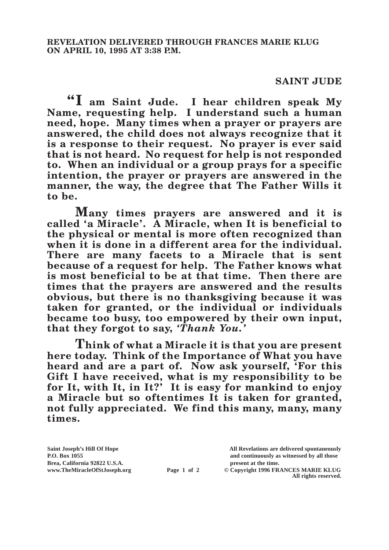## **SAINT JUDE**

**"I am Saint Jude. I hear children speak My Name, requesting help. I understand such a human need, hope. Many times when a prayer or prayers are answered, the child does not always recognize that it is a response to their request. No prayer is ever said that is not heard. No request for help is not responded to. When an individual or a group prays for a specific intention, the prayer or prayers are answered in the manner, the way, the degree that The Father Wills it to be.**

**Many times prayers are answered and it is called 'a Miracle'. A Miracle, when It is beneficial to the physical or mental is more often recognized than when it is done in a different area for the individual. There are many facets to a Miracle that is sent because of a request for help. The Father knows what is most beneficial to be at that time. Then there are times that the prayers are answered and the results obvious, but there is no thanksgiving because it was taken for granted, or the individual or individuals became too busy, too empowered by their own input, that they forgot to say,** *'Thank You.'*

**Think of what a Miracle it is that you are present here today. Think of the Importance of What you have heard and are a part of. Now ask yourself, 'For this Gift I have received, what is my responsibility to be for It, with It, in It?' It is easy for mankind to enjoy a Miracle but so oftentimes It is taken for granted, not fully appreciated. We find this many, many, many times.**

**Brea, California 92822 U.S.A. present at the time.**<br> **Page 1 of 2** © Copyright 1996 FR.

**Saint Joseph's Hill Of Hope All Revelations are delivered spontaneously P.O. Box 1055 and continuously as witnessed by all those** 

**Page 1 of 2** © Copyright 1996 FRANCES MARIE KLUG **All rights reserved.**